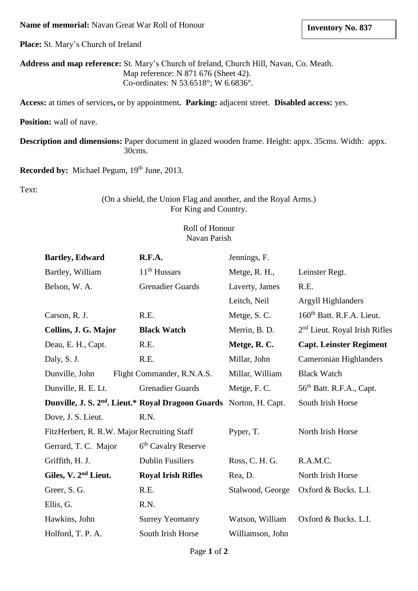#### **Name of memorial:** Navan Great War Roll of Honour

**Place:** St. Mary's Church of Ireland

**Address and map reference:** St. Mary's Church of Ireland, Church Hill, Navan, Co. Meath. Map reference: N 871 676 (Sheet 42). Co-ordinates: N 53.6518°; W 6.6836°.

**Access:** at times of services**,** or by appointment**. Parking:** adjacent street. **Disabled access:** yes.

**Position:** wall of nave.

**Description and dimensions:** Paper document in glazed wooden frame. Height: appx. 35cms. Width: appx. 30cms.

**Recorded by:** Michael Pegum, 19<sup>th</sup> June, 2013.

Text:

### (On a shield, the Union Flag and another, and the Royal Arms.) For King and Country.

### Roll of Honour Navan Parish

| <b>Bartley, Edward</b>                                                          | R.F.A.                          | Jennings, F.     |                                           |
|---------------------------------------------------------------------------------|---------------------------------|------------------|-------------------------------------------|
| Bartley, William                                                                | $11th$ Hussars                  | Metge, R. H.,    | Leinster Regt.                            |
| Belson, W. A.                                                                   | <b>Grenadier Guards</b>         | Laverty, James   | R.E.                                      |
|                                                                                 |                                 | Leitch, Neil     | <b>Argyll Highlanders</b>                 |
| Carson, R. J.                                                                   | R.E.                            | Metge, S.C.      | 160 <sup>th</sup> Batt. R.F.A. Lieut.     |
| Collins, J. G. Major                                                            | <b>Black Watch</b>              | Merrin, B. D.    | 2 <sup>nd</sup> Lieut. Royal Irish Rifles |
| Deau, E. H., Capt.                                                              | R.E.                            | Metge, R.C.      | <b>Capt. Leinster Regiment</b>            |
| Daly, S. J.                                                                     | R.E.                            | Millar, John     | Cameronian Highlanders                    |
| Dunville, John                                                                  | Flight Commander, R.N.A.S.      | Millar, William  | <b>Black Watch</b>                        |
| Dunville, R. E. Lt.                                                             | <b>Grenadier Guards</b>         | Metge, F. C.     | 56 <sup>th</sup> Batt. R.F.A., Capt.      |
| Dunville, J. S. 2 <sup>nd</sup> . Lieut.* Royal Dragoon Guards Norton, H. Capt. |                                 |                  | South Irish Horse                         |
| Dove, J. S. Lieut.                                                              | R.N.                            |                  |                                           |
| FitzHerbert, R. R.W. Major Recruiting Staff                                     |                                 | Pyper, T.        | North Irish Horse                         |
| Gerrard, T. C. Major                                                            | 6 <sup>th</sup> Cavalry Reserve |                  |                                           |
| Griffith, H. J.                                                                 | <b>Dublin Fusiliers</b>         | Ross, C. H. G.   | R.A.M.C.                                  |
| Giles, V. 2 <sup>nd</sup> Lieut.                                                | <b>Royal Irish Rifles</b>       | Rea, D.          | North Irish Horse                         |
| Greer, S. G.                                                                    | R.E.                            | Stalwood, George | Oxford & Bucks. L.I.                      |
| Ellis, G.                                                                       | R.N.                            |                  |                                           |
| Hawkins, John                                                                   | <b>Surrey Yeomanry</b>          | Watson, William  | Oxford & Bucks. L.I.                      |
| Holford, T. P. A.                                                               | South Irish Horse               | Williamson, John |                                           |